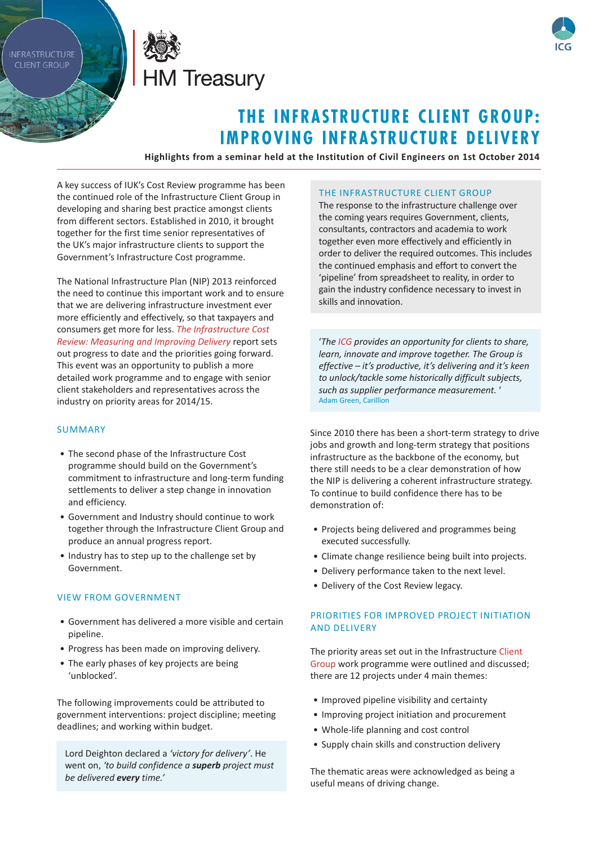**INFRASTRUCTURE CLIENT GROUP** 





# **THE INFRASTRUCTURE CLIENT GROUP: IMPROVING INFRASTRUCTURE DELIVERY**

**Highlights from a seminar held at the Institution of Civil Engineers on 1st October 2014**

A key success of IUK's Cost Review programme has been the continued role of the Infrastructure Client Group in developing and sharing best practice amongst clients from different sectors. Established in 2010, it brought together for the first time senior representatives of the UK's major infrastructure clients to support the Government's Infrastructure Cost programme.

The National Infrastructure Plan (NIP) 2013 reinforced the need to continue this important work and to ensure that we are delivering infrastructure investment ever more efficiently and effectively, so that taxpayers and consumers get more for less. *[The Infrastructure Cost](https://www.gov.uk/government/uploads/system/uploads/attachment_data/file/330380/PU1684_-_Infrastructure_cost_review.pdf)  [Review: Measuring and Improving Delivery](https://www.gov.uk/government/uploads/system/uploads/attachment_data/file/330380/PU1684_-_Infrastructure_cost_review.pdf)* report sets out progress to date and the priorities going forward. This event was an opportunity to publish a more detailed work programme and to engage with senior client stakeholders and representatives across the industry on priority areas for 2014/15.

### SUMMARY

- The second phase of the Infrastructure Cost programme should build on the Government's commitment to infrastructure and long-term funding settlements to deliver a step change in innovation and efficiency.
- • Government and Industry should continue to work together through the Infrastructure Client Group and produce an annual progress report.
- Industry has to step up to the challenge set by Government.

#### VIEW FROM GOVERNMENT

- • Government has delivered a more visible and certain pipeline.
- Progress has been made on improving delivery.
- The early phases of key projects are being 'unblocked'.

The following improvements could be attributed to government interventions: project discipline; meeting deadlines; and working within budget.

Lord Deighton declared a *'victory for delivery'*. He went on, *'to build confidence a superb project must be delivered every time.'*

#### THE INFRASTRUCTURE CLIENT GROUP

The response to the infrastructure challenge over the coming years requires Government, clients, consultants, contractors and academia to work together even more effectively and efficiently in order to deliver the required outcomes. This includes the continued emphasis and effort to convert the 'pipeline' from spreadsheet to reality, in order to gain the industry confidence necessary to invest in skills and innovation.

'*Th[e ICG](https://www.gov.uk/government/publications/infrastructure-client-group) provides an opportunity for clients to share, learn, innovate and improve together. The Group is effective – it's productive, it's delivering and it's keen to unlock/tackle some historically difficult subjects, such as supplier performance measurement.* ' Adam Green, Carillion

Since 2010 there has been a short-term strategy to drive jobs and growth and long-term strategy that positions infrastructure as the backbone of the economy, but there still needs to be a clear demonstration of how the NIP is delivering a coherent infrastructure strategy. To continue to build confidence there has to be demonstration of:

- Projects being delivered and programmes being executed successfully.
- Climate change resilience being built into projects.
- Delivery performance taken to the next level.
- Delivery of the Cost Review legacy.

### PRIORITIES FOR IMPROVED PROJECT INITIATION AND DELIVERY

The priority areas set out in the Infrastructure Client [Group w](https://www.gov.uk/government/uploads/system/uploads/attachment_data/file/359854/ICG_2014-15_work_programme.pdf)ork programme were outlined and discussed; there are 12 projects under 4 main themes:

- Improved pipeline visibility and certainty
- Improving project initiation and procurement
- • Whole-life planning and cost control
- Supply chain skills and construction delivery

The thematic areas were acknowledged as being a useful means of driving change.